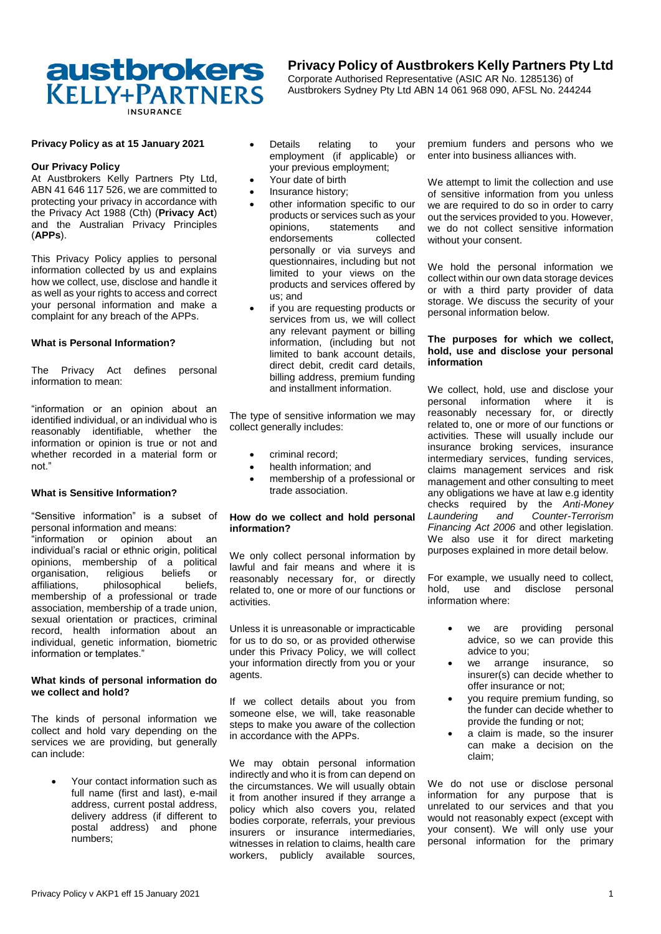# **austbrokers** KELLY+PARTNERS

## **Privacy Policy of Austbrokers Kelly Partners Pty Ltd**

Corporate Authorised Representative (ASIC AR No. 1285136) of Austbrokers Sydney Pty Ltd ABN 14 061 968 090, AFSL No. 244244

## **Privacy Policy as at 15 January 2021**

## **Our Privacy Policy**

At Austbrokers Kelly Partners Pty Ltd, ABN 41 646 117 526, we are committed to protecting your privacy in accordance with the Privacy Act 1988 (Cth) (**Privacy Act**) and the Australian Privacy Principles (**APPs**).

This Privacy Policy applies to personal information collected by us and explains how we collect, use, disclose and handle it as well as your rights to access and correct your personal information and make a complaint for any breach of the APPs.

## **What is Personal Information?**

The Privacy Act defines personal information to mean:

"information or an opinion about an identified individual, or an individual who is reasonably identifiable, whether the information or opinion is true or not and whether recorded in a material form or not."

## **What is Sensitive Information?**

"Sensitive information" is a subset of personal information and means: "information or opinion about an individual's racial or ethnic origin, political opinions, membership of a political organisation, religious beliefs or affiliations, philosophical beliefs, membership of a professional or trade association, membership of a trade union, sexual orientation or practices, criminal record, health information about an individual, genetic information, biometric information or templates."

### **What kinds of personal information do we collect and hold?**

The kinds of personal information we collect and hold vary depending on the services we are providing, but generally can include:

> Your contact information such as full name (first and last), e-mail address, current postal address, delivery address (if different to postal address) and phone numbers;

- Details relating to your employment (if applicable) or your previous employment;
- Your date of birth
- Insurance history;
- other information specific to our products or services such as your<br>opinions. statements and statements and<br>ts collected endorsements personally or via surveys and questionnaires, including but not limited to your views on the products and services offered by us; and
- if you are requesting products or services from us, we will collect any relevant payment or billing information, (including but not limited to bank account details, direct debit, credit card details, billing address, premium funding and installment information.

The type of sensitive information we may collect generally includes:

- criminal record;
- health information; and
- membership of a professional or trade association.

## **How do we collect and hold personal information?**

We only collect personal information by lawful and fair means and where it is reasonably necessary for, or directly related to, one or more of our functions or activities.

Unless it is unreasonable or impracticable for us to do so, or as provided otherwise under this Privacy Policy, we will collect your information directly from you or your agents.

If we collect details about you from someone else, we will, take reasonable steps to make you aware of the collection in accordance with the APPs.

We may obtain personal information indirectly and who it is from can depend on the circumstances. We will usually obtain it from another insured if they arrange a policy which also covers you, related bodies corporate, referrals, your previous insurers or insurance intermediaries, witnesses in relation to claims, health care workers, publicly available sources,

premium funders and persons who we enter into business alliances with.

We attempt to limit the collection and use of sensitive information from you unless we are required to do so in order to carry out the services provided to you. However, we do not collect sensitive information without your consent.

We hold the personal information we collect within our own data storage devices or with a third party provider of data storage. We discuss the security of your personal information below.

## **The purposes for which we collect, hold, use and disclose your personal information**

We collect, hold, use and disclose your personal information where it is reasonably necessary for, or directly related to, one or more of our functions or activities. These will usually include our insurance broking services, insurance intermediary services, funding services, claims management services and risk management and other consulting to meet any obligations we have at law e.g identity checks required by the *Anti-Money Laundering and Counter-Terrorism Financing Act 2006* and other legislation. We also use it for direct marketing purposes explained in more detail below.

For example, we usually need to collect, hold, use and disclose personal information where:

- we are providing personal advice, so we can provide this advice to you;
- we arrange insurance, so insurer(s) can decide whether to offer insurance or not;
- you require premium funding, so the funder can decide whether to provide the funding or not;
- a claim is made, so the insurer can make a decision on the claim;

We do not use or disclose personal information for any purpose that is unrelated to our services and that you would not reasonably expect (except with your consent). We will only use your personal information for the primary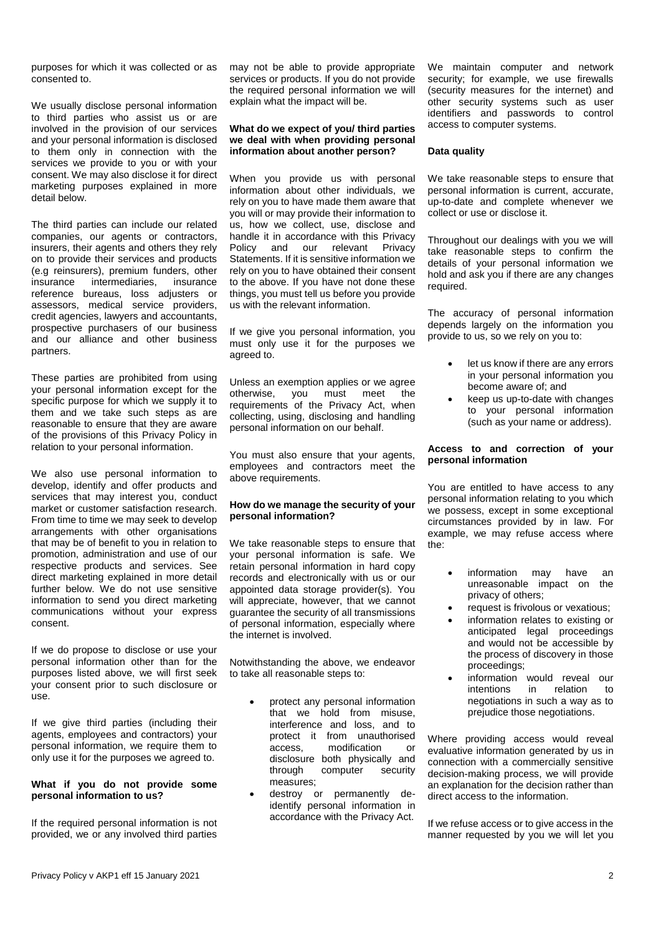purposes for which it was collected or as consented to.

We usually disclose personal information to third parties who assist us or are involved in the provision of our services and your personal information is disclosed to them only in connection with the services we provide to you or with your consent. We may also disclose it for direct marketing purposes explained in more detail below.

The third parties can include our related companies, our agents or contractors, insurers, their agents and others they rely on to provide their services and products (e.g reinsurers), premium funders, other insurance intermediaries, insurance reference bureaus, loss adjusters or assessors, medical service providers, credit agencies, lawyers and accountants, prospective purchasers of our business and our alliance and other business partners.

These parties are prohibited from using your personal information except for the specific purpose for which we supply it to them and we take such steps as are reasonable to ensure that they are aware of the provisions of this Privacy Policy in relation to your personal information.

We also use personal information to develop, identify and offer products and services that may interest you, conduct market or customer satisfaction research. From time to time we may seek to develop arrangements with other organisations that may be of benefit to you in relation to promotion, administration and use of our respective products and services. See direct marketing explained in more detail further below. We do not use sensitive information to send you direct marketing communications without your express consent.

If we do propose to disclose or use your personal information other than for the purposes listed above, we will first seek your consent prior to such disclosure or use.

If we give third parties (including their agents, employees and contractors) your personal information, we require them to only use it for the purposes we agreed to.

## **What if you do not provide some personal information to us?**

If the required personal information is not provided, we or any involved third parties

may not be able to provide appropriate services or products. If you do not provide the required personal information we will explain what the impact will be.

## **What do we expect of you/ third parties we deal with when providing personal information about another person?**

When you provide us with personal information about other individuals, we rely on you to have made them aware that you will or may provide their information to us, how we collect, use, disclose and handle it in accordance with this Privacy Policy and our relevant Privacy Statements. If it is sensitive information we rely on you to have obtained their consent to the above. If you have not done these things, you must tell us before you provide us with the relevant information.

If we give you personal information, you must only use it for the purposes we agreed to.

Unless an exemption applies or we agree<br>otherwise. vou must meet the you must meet requirements of the Privacy Act, when collecting, using, disclosing and handling personal information on our behalf.

You must also ensure that your agents, employees and contractors meet the above requirements.

## **How do we manage the security of your personal information?**

We take reasonable steps to ensure that your personal information is safe. We retain personal information in hard copy records and electronically with us or our appointed data storage provider(s). You will appreciate, however, that we cannot guarantee the security of all transmissions of personal information, especially where the internet is involved.

Notwithstanding the above, we endeavor to take all reasonable steps to:

- protect any personal information that we hold from misuse, interference and loss, and to protect it from unauthorised<br>access. modification or modification or disclosure both physically and through computer security measures;
- destroy or permanently deidentify personal information in accordance with the Privacy Act.

We maintain computer and network security; for example, we use firewalls (security measures for the internet) and other security systems such as user identifiers and passwords to control access to computer systems.

## **Data quality**

We take reasonable steps to ensure that personal information is current, accurate, up-to-date and complete whenever we collect or use or disclose it.

Throughout our dealings with you we will take reasonable steps to confirm the details of your personal information we hold and ask you if there are any changes required.

The accuracy of personal information depends largely on the information you provide to us, so we rely on you to:

- let us know if there are any errors in your personal information you become aware of; and
- keep us up-to-date with changes to your personal information (such as your name or address).

## **Access to and correction of your personal information**

You are entitled to have access to any personal information relating to you which we possess, except in some exceptional circumstances provided by in law. For example, we may refuse access where the:

- information may have an unreasonable impact on the privacy of others;
- request is frivolous or vexatious;
- information relates to existing or anticipated legal proceedings and would not be accessible by the process of discovery in those proceedings;
- information would reveal our<br>intentions in relation to intentions in relation to negotiations in such a way as to prejudice those negotiations.

Where providing access would reveal evaluative information generated by us in connection with a commercially sensitive decision-making process, we will provide an explanation for the decision rather than direct access to the information.

If we refuse access or to give access in the manner requested by you we will let you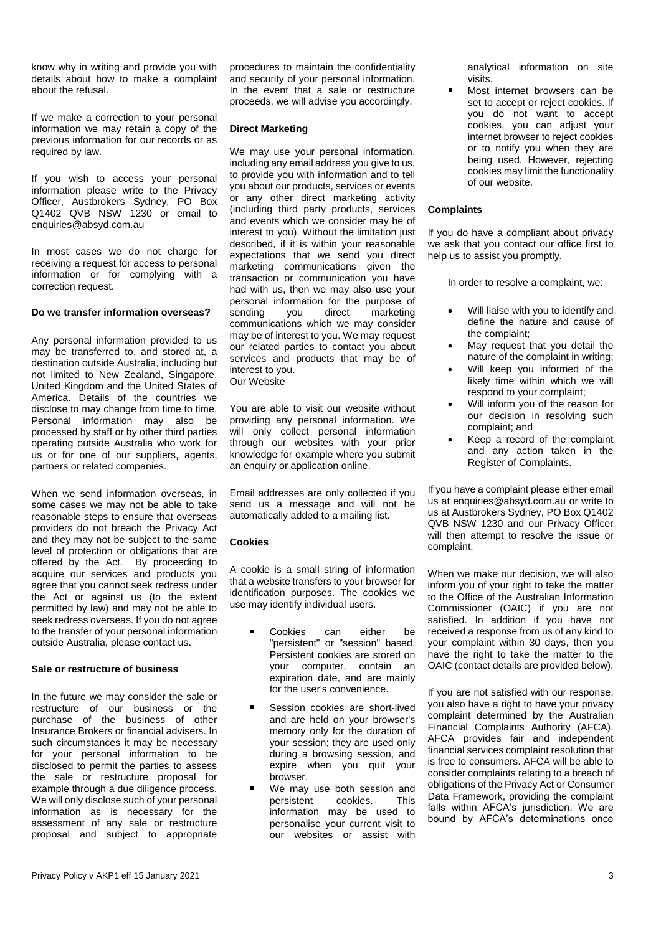know why in writing and provide you with details about how to make a complaint about the refusal.

If we make a correction to your personal information we may retain a copy of the previous information for our records or as required by law.

If you wish to access your personal information please write to the Privacy Officer, Austbrokers Sydney, PO Box Q1402 QVB NSW 1230 or email to enquiries@absyd.com.au

In most cases we do not charge for receiving a request for access to personal information or for complying with a correction request.

## **Do we transfer information overseas?**

Any personal information provided to us may be transferred to, and stored at, a destination outside Australia, including but not limited to New Zealand, Singapore, United Kingdom and the United States of America. Details of the countries we disclose to may change from time to time. Personal information may also be processed by staff or by other third parties operating outside Australia who work for us or for one of our suppliers, agents, partners or related companies.

When we send information overseas, in some cases we may not be able to take reasonable steps to ensure that overseas providers do not breach the Privacy Act and they may not be subject to the same level of protection or obligations that are offered by the Act. By proceeding to acquire our services and products you agree that you cannot seek redress under the Act or against us (to the extent permitted by law) and may not be able to seek redress overseas. If you do not agree to the transfer of your personal information outside Australia, please contact us.

## **Sale or restructure of business**

In the future we may consider the sale or restructure of our business or the purchase of the business of other Insurance Brokers or financial advisers. In such circumstances it may be necessary for your personal information to be disclosed to permit the parties to assess the sale or restructure proposal for example through a due diligence process. We will only disclose such of your personal information as is necessary for the assessment of any sale or restructure proposal and subject to appropriate

procedures to maintain the confidentiality and security of your personal information. In the event that a sale or restructure proceeds, we will advise you accordingly.

## **Direct Marketing**

We may use your personal information, including any email address you give to us, to provide you with information and to tell you about our products, services or events or any other direct marketing activity (including third party products, services and events which we consider may be of interest to you). Without the limitation just described, if it is within your reasonable expectations that we send you direct marketing communications given the transaction or communication you have had with us, then we may also use your personal information for the purpose of<br>sending you direct marketing marketing communications which we may consider may be of interest to you. We may request our related parties to contact you about services and products that may be of interest to you. Our Website

You are able to visit our website without providing any personal information. We will only collect personal information through our websites with your prior knowledge for example where you submit an enquiry or application online.

Email addresses are only collected if you send us a message and will not be automatically added to a mailing list.

## **Cookies**

A cookie is a small string of information that a website transfers to your browser for identification purposes. The cookies we use may identify individual users.

- **Cookies** can either be "persistent" or "session" based. Persistent cookies are stored on your computer, contain an expiration date, and are mainly for the user's convenience.
- Session cookies are short-lived and are held on your browser's memory only for the duration of your session; they are used only during a browsing session, and expire when you quit your browser.
- We may use both session and persistent cookies. This information may be used to personalise your current visit to our websites or assist with

analytical information on site visits.

 Most internet browsers can be set to accept or reject cookies. If you do not want to accept cookies, you can adjust your internet browser to reject cookies or to notify you when they are being used. However, rejecting cookies may limit the functionality of our website.

## **Complaints**

If you do have a compliant about privacy we ask that you contact our office first to help us to assist you promptly.

In order to resolve a complaint, we:

- Will liaise with you to identify and define the nature and cause of the complaint;
- May request that you detail the nature of the complaint in writing;
- Will keep you informed of the likely time within which we will respond to your complaint;
- Will inform you of the reason for our decision in resolving such complaint; and
- Keep a record of the complaint and any action taken in the Register of Complaints.

If you have a complaint please either email us at enquiries@absyd.com.au or write to us at Austbrokers Sydney, PO Box Q1402 QVB NSW 1230 and our Privacy Officer will then attempt to resolve the issue or complaint.

When we make our decision, we will also inform you of your right to take the matter to the Office of the Australian Information Commissioner (OAIC) if you are not satisfied. In addition if you have not received a response from us of any kind to your complaint within 30 days, then you have the right to take the matter to the OAIC (contact details are provided below).

If you are not satisfied with our response, you also have a right to have your privacy complaint determined by the Australian Financial Complaints Authority (AFCA). AFCA provides fair and independent financial services complaint resolution that is free to consumers. AFCA will be able to consider complaints relating to a breach of obligations of the Privacy Act or Consumer Data Framework, providing the complaint falls within AFCA's jurisdiction. We are bound by AFCA's determinations once